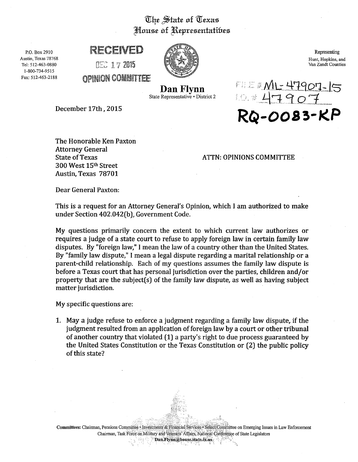## The State of Texas House of Representatibes



## RECEIVED

o:z:: 1 *'J* <sup>2015</sup>

mumn.!\~' ro~m,fal!i'a"!tTf;E' Oir·llirn'\*mvi,: \, · mit~J1~.:1t: s.~ii;:'.



Representing Hunt, Hopkins, and Van Zandt Counties

ML-47907-15

Dan Flynn State Representative • District 2

December 17th, 2015

The Honorable Ken Paxton Attorney General State of Texas 300 West 15th Street Austin, Texas 78701

ATTN: OPINIONS COMMITTEE

Dear General Paxton:

This is a request for an Attorney General's Opinion, which I am authorized to make under Section 402.042(b), Government Code.

My questions primarily concern the extent to which current law authorizes or requires a judge of a state court to refuse to apply foreign law in certain family law disputes. By "foreign law," I mean the law of a country other than the United States. By "family law dispute," I mean a legal dispute regarding a marital relationship or a parent-child relationship. Each of my questions assumes the family law dispute is before a Texas court that has personal jurisdiction over the parties, children and/or property that are the subject(s) of the family law dispute, as well as having subject matter jurisdiction.

My specific questions are:

1. May a judge refuse to enforce a judgment regarding a family law dispute, if the judgment resulted from an application of foreign law by a court or other tribunal of another country that violated (1) a party's right to due process guaranteed by the United States Constitution or the Texas Constitution or (2) the public policy of this state?

Committees: Chairman, Pensions Committee • Investments & Financial Services: · Select Committee on Emerging Issues in Law Enforcement Chairman, Task Force on Military and Veterans' Affairs, National Conference of State Legislators  $\blacksquare$   $\blacksquare$   $\blacksquare$   $\blacksquare$   $\blacksquare$   $\blacksquare$   $\blacksquare$   $\blacksquare$   $\blacksquare$   $\blacksquare$   $\blacksquare$   $\blacksquare$   $\blacksquare$   $\blacksquare$   $\blacksquare$   $\blacksquare$   $\blacksquare$   $\blacksquare$   $\blacksquare$   $\blacksquare$   $\blacksquare$   $\blacksquare$   $\blacksquare$   $\blacksquare$   $\blacksquare$   $\blacksquare$   $\blacksquare$   $\blacksquare$   $\blacksquare$   $\blacksquare$   $\blacksquare$   $\blacks$ 

 $\mathcal{L}$  $_{\rm HSR}$  as  $_{\rm H}$  ;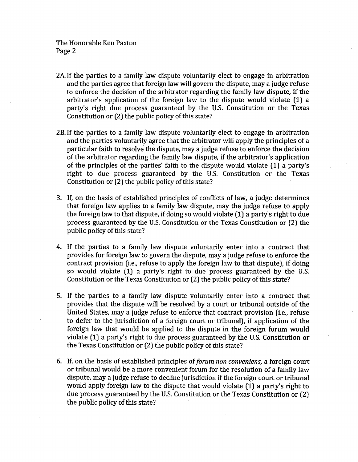- 2A. If the parties to a family law dispute voluntarily elect to engage in arbitration and the parties agree that foreign law will govern the dispute, may a judge refuse to enforce the decision of the arbitrator regarding the family law dispute, if the arbitrator's application of the foreign law to the dispute would violate (1) a party's right due process guaranteed by the U.S. Constitution or the Texas Constitution or (2) the public policy of this state?
- 2B. If the parties to a family law dispute voluntarily elect to engage in arbitration and the parties voluntarily agree that the arbitrator will apply the principles of a particular faith to resolve the dispute, may a judge refuse to enforce the decision of the arbitrator regarding the family law dispute, if the arbitrator's application of the principles of the parties' faith to the dispute would violate (1) a party's right to due process guaranteed by the U.S. Constitution or the Texas Constitution or (2) the public policy of this state?
- 3. If, on the basis of established principles of conflicts of law, a judge determines that foreign law applies to a family law dispute, may the judge refuse to apply the foreign law to that dispute, if doing so would violate (1) a party's right to due process guaranteed by the U.S. Constitution or the Texas Constitution or (2) the public policy of this state?
- 4. If the parties to a family law dispute voluntarily enter into a contract that provides for foreign law to govern the dispute, may a judge refuse to enforce the contract provision (i.e., refuse to apply the foreign law to that dispute), if doing so would violate (1) a party's right to due process guaranteed by the U.S. Constitution or the Texas Constitution or (2) the public policy of this state?
- 5. If the parties to a family law dispute voluntarily enter into a contract that provides that the dispute will be resolved by a court or tribunal outside of the United States, may a judge refuse to enforce that contract provision (i.e., refuse to defer to the jurisdiction of a foreign court or tribunal), if application of the foreign law that would be applied to the dispute in the foreign forum would violate (1) a party's right to due process guaranteed by the U.S. Constitution or the Texas Constitution or (2) the public policy of this state?
- 6. If, on the basis of established principles of *forum non conveniens,* a foreign court or tribunal would be a more convenient forum for the resolution of a family law dispute, may a judge refuse to decline jurisdiction if the foreign court or tribunal would apply foreign law to the dispute that would violate (1) a party's right to due process guaranteed by the U.S. Constitution or the Texas Constitution or (2) the public policy of this state?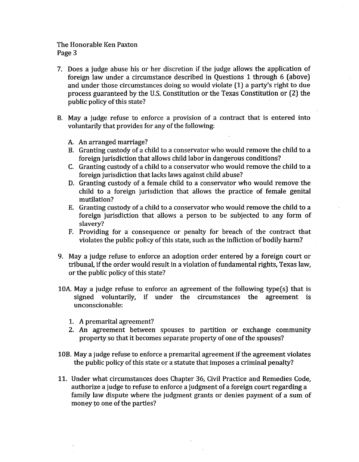## The Honorable Ken Paxton Page 3

- 7. Does a judge abuse his or her discretion if the judge allows the application of foreign law under a circumstance described in Questions 1 through 6 (above) and under those circumstances doing so would violate (1) a party's right to due process guaranteed by the U.S. Constitution or the Texas Constitution or (2) the public policy of this state?
- 8. May a judge refuse to enforce a provision of a contract that is entered into voluntarily that provides for any of the following:
	- A. An arranged marriage?
	- B. Granting custody of a child to a conservator who would remove the child to a foreign jurisdiction that allows child labor in dangerous conditions?
	- C. Granting custody of a child to a conservator who would remove the child to a foreign jurisdiction that lacks laws against child abuse?
	- D. Granting custody of a female child to a conservator who would remove the child to a foreign jurisdiction that allows the practice of female genital mutilation?
	- E. Granting custody of a child to a conservator who would remove the child to a foreign jurisdiction that allows a person to be subjected to any form of slavery?
	- F. Providing for a consequence or penalty for breach of the contract that violates the public policy of this state, such as the infliction of bodily harm?
- 9. May a judge refuse to enforce an adoption order entered by a foreign court or tribunal, if the order would result in a violation of fundamental rights, Texas law, or the public policy of this state?
- 10A. May a judge refuse to enforce an agreement of the following type(s) that is signed voluntarily, if under the circumstances the agreement is unconscionable:
	- 1. A premarital agreement?
	- 2. An agreement between spouses to partition or exchange community property so that it becomes separate property of one of the spouses?
- 10B. May a judge refuse to enforce a premarital agreement if the agreement violates the public policy of this state or a statute that imposes a criminal penalty?
- 11. Under what circumstances does Chapter 36, Civil Practice and Remedies Code, authorize a judge to refuse to enforce a judgment of a foreign court regarding a family law dispute where the judgment grants or denies payment of a sum of money to one of the parties?